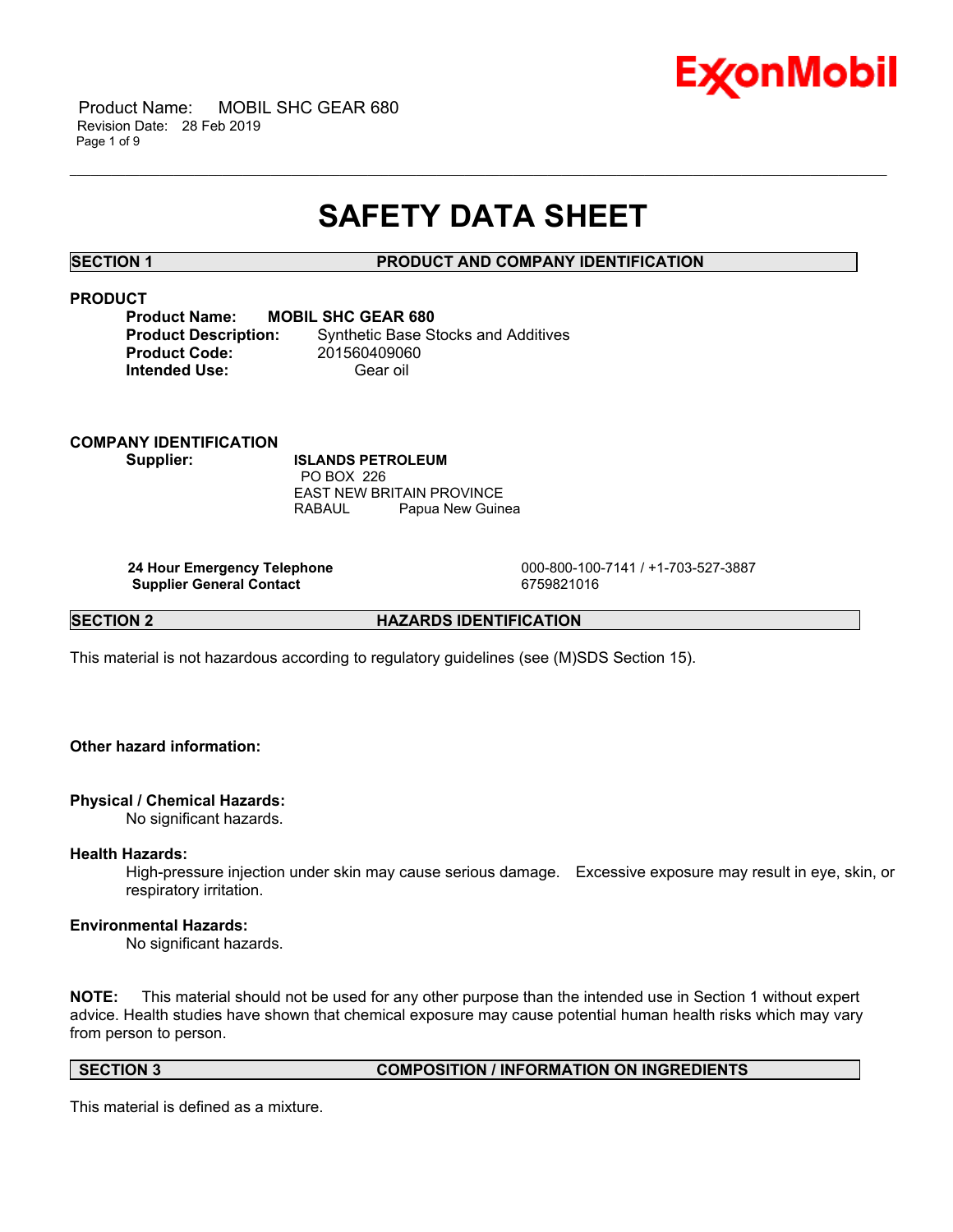

# **SAFETY DATA SHEET**

\_\_\_\_\_\_\_\_\_\_\_\_\_\_\_\_\_\_\_\_\_\_\_\_\_\_\_\_\_\_\_\_\_\_\_\_\_\_\_\_\_\_\_\_\_\_\_\_\_\_\_\_\_\_\_\_\_\_\_\_\_\_\_\_\_\_\_\_\_\_\_\_\_\_\_\_\_\_\_\_\_\_\_\_\_\_\_\_\_\_\_\_\_\_\_\_\_\_\_\_\_\_\_\_\_\_\_\_\_\_\_\_\_\_\_\_\_\_

# **SECTION 1 PRODUCT AND COMPANY IDENTIFICATION**

# **PRODUCT**

| <b>MOBIL SHC GEAR 680</b>                  |
|--------------------------------------------|
| <b>Synthetic Base Stocks and Additives</b> |
| 201560409060                               |
| Gear oil                                   |
|                                            |

**COMPANY IDENTIFICATION Supplier: ISLANDS PETROLEUM** PO BOX 226 EAST NEW BRITAIN PROVINCE

**Supplier General Contact** 6759821016

 **24 Hour Emergency Telephone** 000-800-100-7141 / +1-703-527-3887

**SECTION 2 HAZARDS IDENTIFICATION** 

This material is not hazardous according to regulatory guidelines (see (M)SDS Section 15).

RABAUL Papua New Guinea

# **Other hazard information:**

# **Physical / Chemical Hazards:**

No significant hazards.

# **Health Hazards:**

High-pressure injection under skin may cause serious damage. Excessive exposure may result in eye, skin, or respiratory irritation.

# **Environmental Hazards:**

No significant hazards.

**NOTE:** This material should not be used for any other purpose than the intended use in Section 1 without expert advice. Health studies have shown that chemical exposure may cause potential human health risks which may vary from person to person.

**SECTION 3 COMPOSITION / INFORMATION ON INGREDIENTS**

This material is defined as a mixture.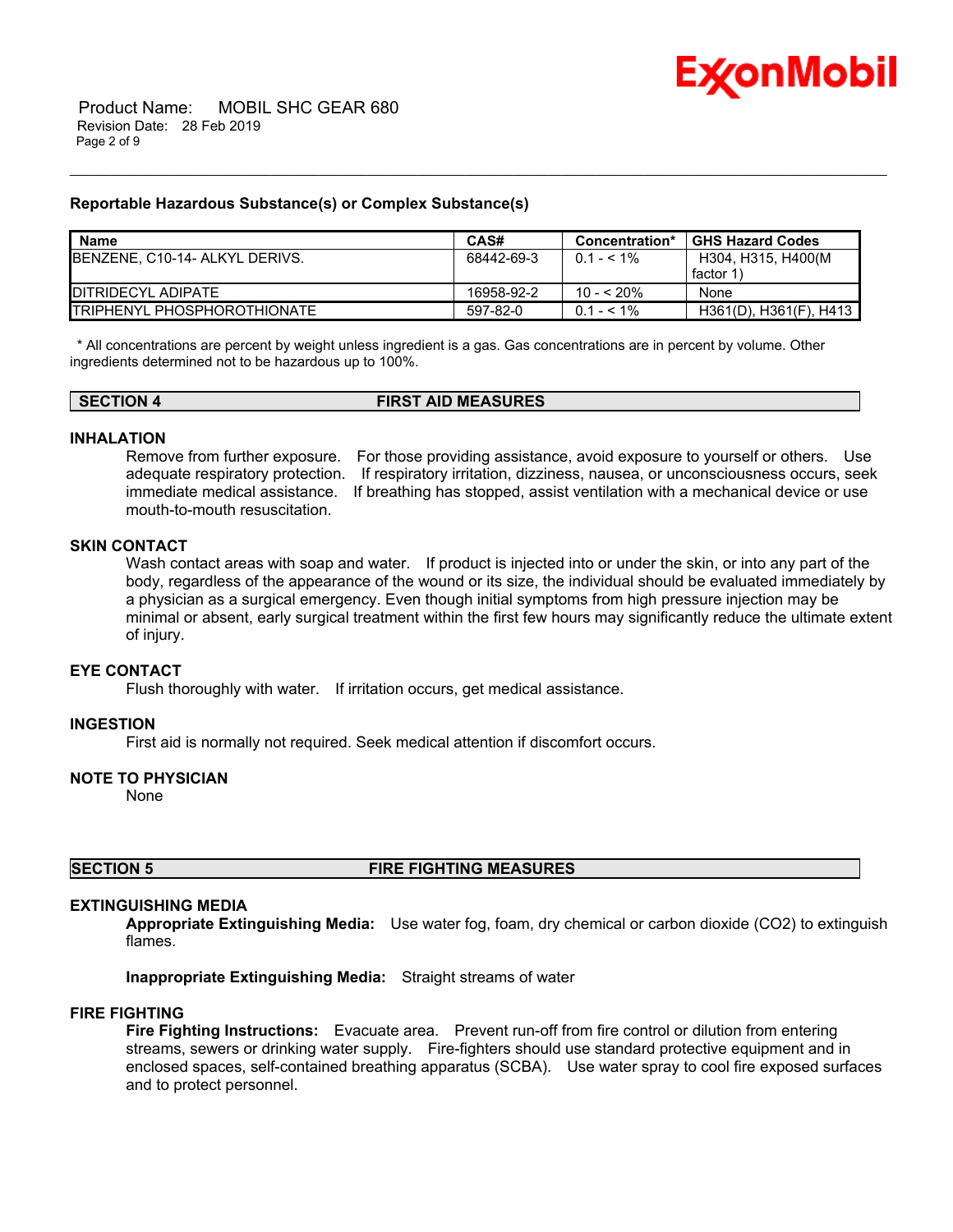

#### **Reportable Hazardous Substance(s) or Complex Substance(s)**

| <b>Name</b>                         | CAS#       | Concentration* | <b>GHS Hazard Codes</b> |
|-------------------------------------|------------|----------------|-------------------------|
| BENZENE, C10-14- ALKYL DERIVS.      | 68442-69-3 | $0.1 - 5.1\%$  | H304, H315, H400(M      |
|                                     |            |                | factor 1                |
| <b>IDITRIDECYL ADIPATE</b>          | 16958-92-2 | $10 - 520%$    | None                    |
| <b>ITRIPHENYL PHOSPHOROTHIONATE</b> | 597-82-0   | $0.1 - 5.1\%$  | H361(D), H361(F), H413  |

\_\_\_\_\_\_\_\_\_\_\_\_\_\_\_\_\_\_\_\_\_\_\_\_\_\_\_\_\_\_\_\_\_\_\_\_\_\_\_\_\_\_\_\_\_\_\_\_\_\_\_\_\_\_\_\_\_\_\_\_\_\_\_\_\_\_\_\_\_\_\_\_\_\_\_\_\_\_\_\_\_\_\_\_\_\_\_\_\_\_\_\_\_\_\_\_\_\_\_\_\_\_\_\_\_\_\_\_\_\_\_\_\_\_\_\_\_\_

 \* All concentrations are percent by weight unless ingredient is a gas. Gas concentrations are in percent by volume. Other ingredients determined not to be hazardous up to 100%.

| <b>SECTION 4</b> | <b>FIRST AID MEASURES</b> |  |
|------------------|---------------------------|--|
|                  |                           |  |

# **INHALATION**

Remove from further exposure. For those providing assistance, avoid exposure to yourself or others. Use adequate respiratory protection. If respiratory irritation, dizziness, nausea, or unconsciousness occurs, seek immediate medical assistance. If breathing has stopped, assist ventilation with a mechanical device or use mouth-to-mouth resuscitation.

#### **SKIN CONTACT**

Wash contact areas with soap and water. If product is injected into or under the skin, or into any part of the body, regardless of the appearance of the wound or its size, the individual should be evaluated immediately by a physician as a surgical emergency. Even though initial symptoms from high pressure injection may be minimal or absent, early surgical treatment within the first few hours may significantly reduce the ultimate extent of injury.

# **EYE CONTACT**

Flush thoroughly with water. If irritation occurs, get medical assistance.

#### **INGESTION**

First aid is normally not required. Seek medical attention if discomfort occurs.

# **NOTE TO PHYSICIAN**

None

# **SECTION 5 FIRE FIGHTING MEASURES**

# **EXTINGUISHING MEDIA**

**Appropriate Extinguishing Media:** Use water fog, foam, dry chemical or carbon dioxide (CO2) to extinguish flames.

**Inappropriate Extinguishing Media:** Straight streams of water

# **FIRE FIGHTING**

**Fire Fighting Instructions:** Evacuate area. Prevent run-off from fire control or dilution from entering streams, sewers or drinking water supply. Fire-fighters should use standard protective equipment and in enclosed spaces, self-contained breathing apparatus (SCBA). Use water spray to cool fire exposed surfaces and to protect personnel.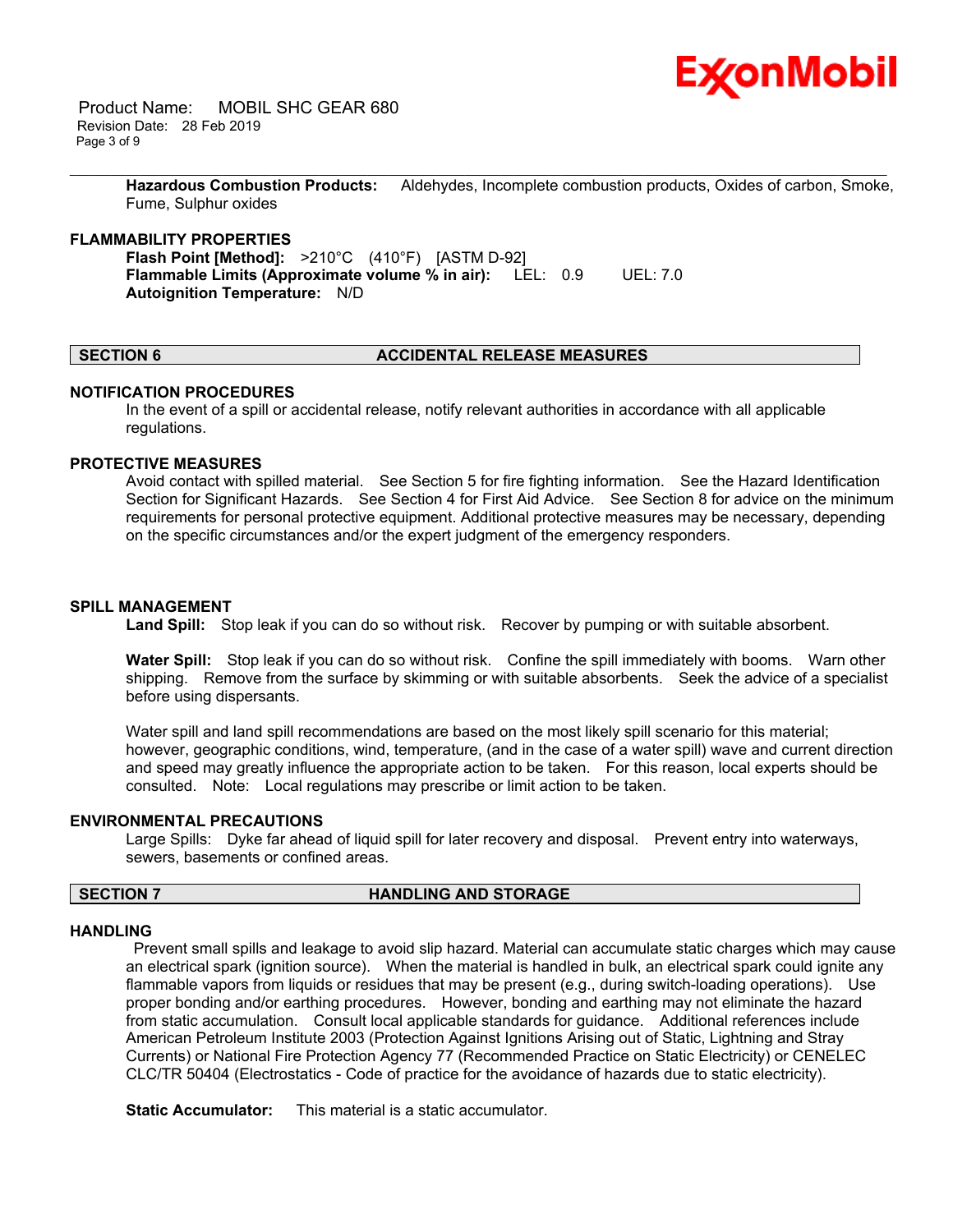

 Product Name: MOBIL SHC GEAR 680 Revision Date: 28 Feb 2019 Page 3 of 9

> **Hazardous Combustion Products:** Aldehydes, Incomplete combustion products, Oxides of carbon, Smoke, Fume, Sulphur oxides

\_\_\_\_\_\_\_\_\_\_\_\_\_\_\_\_\_\_\_\_\_\_\_\_\_\_\_\_\_\_\_\_\_\_\_\_\_\_\_\_\_\_\_\_\_\_\_\_\_\_\_\_\_\_\_\_\_\_\_\_\_\_\_\_\_\_\_\_\_\_\_\_\_\_\_\_\_\_\_\_\_\_\_\_\_\_\_\_\_\_\_\_\_\_\_\_\_\_\_\_\_\_\_\_\_\_\_\_\_\_\_\_\_\_\_\_\_\_

#### **FLAMMABILITY PROPERTIES**

**Flash Point [Method]:** >210°C (410°F) [ASTM D-92] **Flammable Limits (Approximate volume % in air):** LEL: 0.9 UEL: 7.0 **Autoignition Temperature:** N/D

#### **SECTION 6 ACCIDENTAL RELEASE MEASURES**

#### **NOTIFICATION PROCEDURES**

In the event of a spill or accidental release, notify relevant authorities in accordance with all applicable regulations.

#### **PROTECTIVE MEASURES**

Avoid contact with spilled material. See Section 5 for fire fighting information. See the Hazard Identification Section for Significant Hazards. See Section 4 for First Aid Advice. See Section 8 for advice on the minimum requirements for personal protective equipment. Additional protective measures may be necessary, depending on the specific circumstances and/or the expert judgment of the emergency responders.

#### **SPILL MANAGEMENT**

**Land Spill:** Stop leak if you can do so without risk. Recover by pumping or with suitable absorbent.

**Water Spill:** Stop leak if you can do so without risk. Confine the spill immediately with booms. Warn other shipping. Remove from the surface by skimming or with suitable absorbents. Seek the advice of a specialist before using dispersants.

Water spill and land spill recommendations are based on the most likely spill scenario for this material; however, geographic conditions, wind, temperature, (and in the case of a water spill) wave and current direction and speed may greatly influence the appropriate action to be taken. For this reason, local experts should be consulted. Note: Local regulations may prescribe or limit action to be taken.

#### **ENVIRONMENTAL PRECAUTIONS**

Large Spills: Dyke far ahead of liquid spill for later recovery and disposal. Prevent entry into waterways, sewers, basements or confined areas.

#### **SECTION 7 HANDLING AND STORAGE**

#### **HANDLING**

 Prevent small spills and leakage to avoid slip hazard. Material can accumulate static charges which may cause an electrical spark (ignition source). When the material is handled in bulk, an electrical spark could ignite any flammable vapors from liquids or residues that may be present (e.g., during switch-loading operations). Use proper bonding and/or earthing procedures. However, bonding and earthing may not eliminate the hazard from static accumulation. Consult local applicable standards for guidance. Additional references include American Petroleum Institute 2003 (Protection Against Ignitions Arising out of Static, Lightning and Stray Currents) or National Fire Protection Agency 77 (Recommended Practice on Static Electricity) or CENELEC CLC/TR 50404 (Electrostatics - Code of practice for the avoidance of hazards due to static electricity).

**Static Accumulator:** This material is a static accumulator.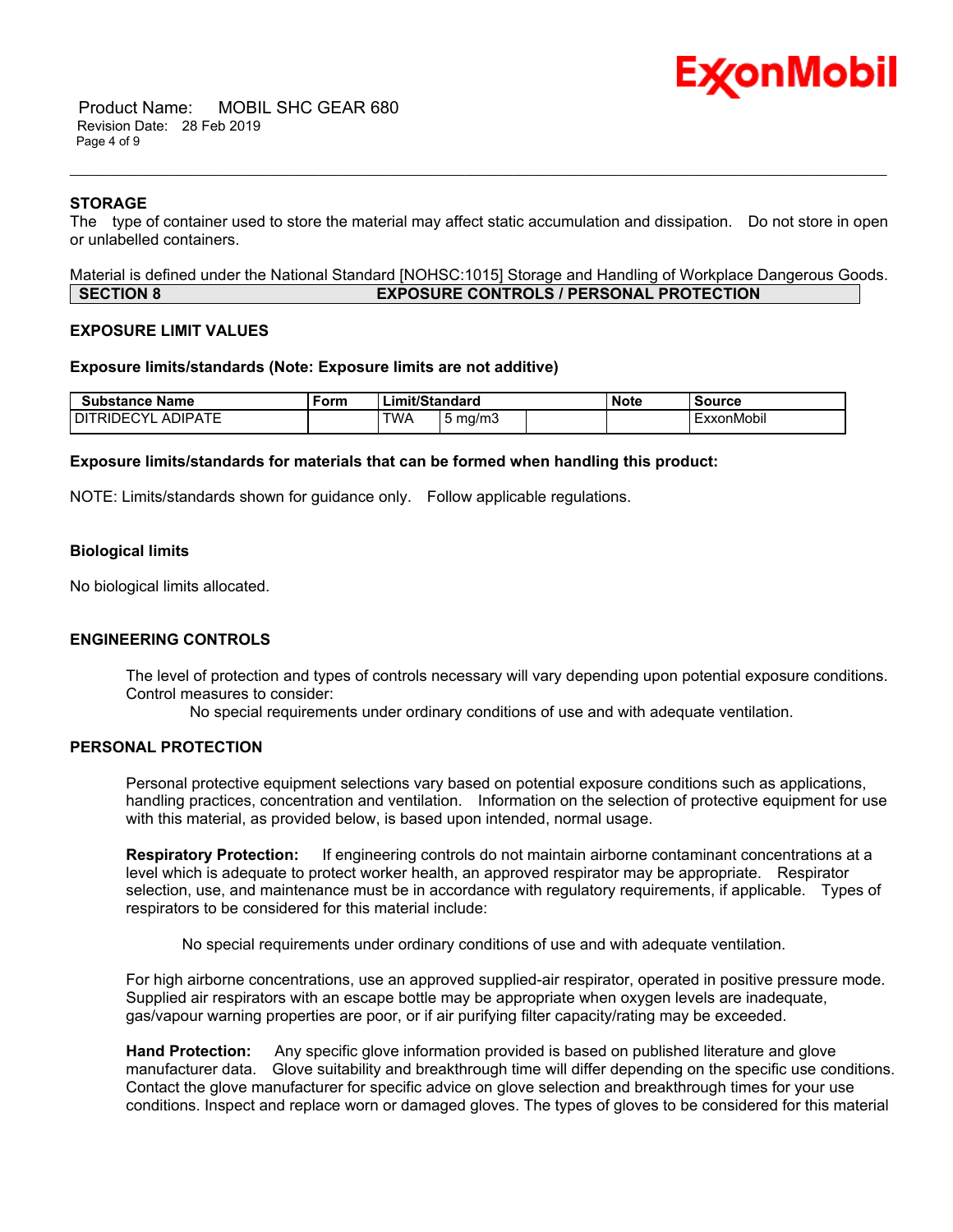

 Product Name: MOBIL SHC GEAR 680 Revision Date: 28 Feb 2019 Page 4 of 9

#### **STORAGE**

The type of container used to store the material may affect static accumulation and dissipation. Do not store in open or unlabelled containers.

\_\_\_\_\_\_\_\_\_\_\_\_\_\_\_\_\_\_\_\_\_\_\_\_\_\_\_\_\_\_\_\_\_\_\_\_\_\_\_\_\_\_\_\_\_\_\_\_\_\_\_\_\_\_\_\_\_\_\_\_\_\_\_\_\_\_\_\_\_\_\_\_\_\_\_\_\_\_\_\_\_\_\_\_\_\_\_\_\_\_\_\_\_\_\_\_\_\_\_\_\_\_\_\_\_\_\_\_\_\_\_\_\_\_\_\_\_\_

Material is defined under the National Standard [NOHSC:1015] Storage and Handling of Workplace Dangerous Goods. **SECTION 8 EXPOSURE CONTROLS / PERSONAL PROTECTION**

#### **EXPOSURE LIMIT VALUES**

#### **Exposure limits/standards (Note: Exposure limits are not additive)**

| <b>Substance Name</b>                          | ™orm | Limit/Standard |            | <b>Note</b> | Source |            |
|------------------------------------------------|------|----------------|------------|-------------|--------|------------|
| <b>IDIPATF</b><br>)ECYI<br>DIT<br>'RIDE\<br>ΑI |      | TWA.           | ma/m3<br>ັ |             |        | ExxonMobil |

#### **Exposure limits/standards for materials that can be formed when handling this product:**

NOTE: Limits/standards shown for guidance only. Follow applicable regulations.

#### **Biological limits**

No biological limits allocated.

#### **ENGINEERING CONTROLS**

The level of protection and types of controls necessary will vary depending upon potential exposure conditions. Control measures to consider:

No special requirements under ordinary conditions of use and with adequate ventilation.

# **PERSONAL PROTECTION**

Personal protective equipment selections vary based on potential exposure conditions such as applications, handling practices, concentration and ventilation. Information on the selection of protective equipment for use with this material, as provided below, is based upon intended, normal usage.

**Respiratory Protection:** If engineering controls do not maintain airborne contaminant concentrations at a level which is adequate to protect worker health, an approved respirator may be appropriate. Respirator selection, use, and maintenance must be in accordance with regulatory requirements, if applicable. Types of respirators to be considered for this material include:

No special requirements under ordinary conditions of use and with adequate ventilation.

For high airborne concentrations, use an approved supplied-air respirator, operated in positive pressure mode. Supplied air respirators with an escape bottle may be appropriate when oxygen levels are inadequate, gas/vapour warning properties are poor, or if air purifying filter capacity/rating may be exceeded.

**Hand Protection:** Any specific glove information provided is based on published literature and glove manufacturer data. Glove suitability and breakthrough time will differ depending on the specific use conditions. Contact the glove manufacturer for specific advice on glove selection and breakthrough times for your use conditions. Inspect and replace worn or damaged gloves. The types of gloves to be considered for this material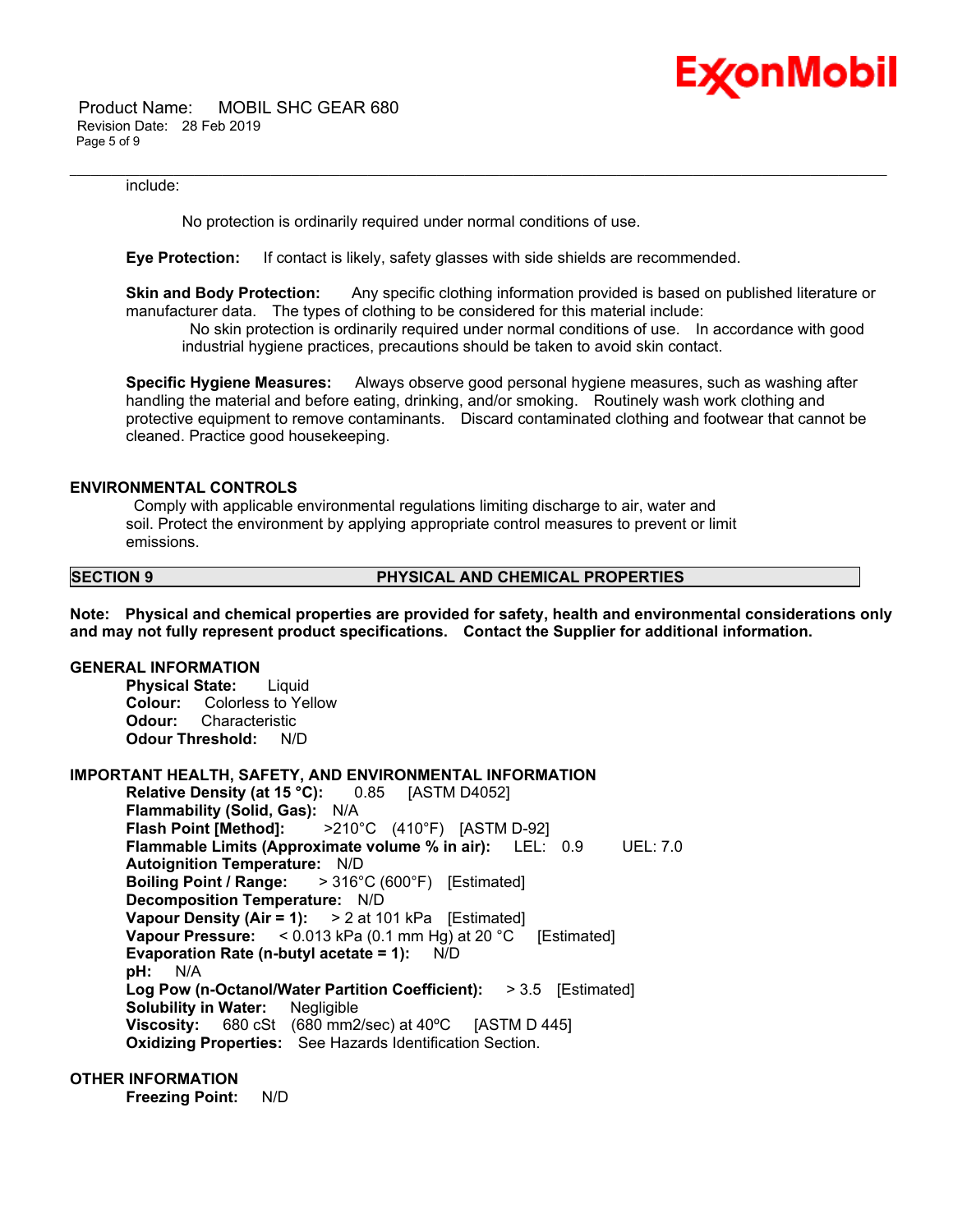

 Product Name: MOBIL SHC GEAR 680 Revision Date: 28 Feb 2019 Page 5 of 9

#### include:

No protection is ordinarily required under normal conditions of use.

**Eye Protection:** If contact is likely, safety glasses with side shields are recommended.

**Skin and Body Protection:** Any specific clothing information provided is based on published literature or manufacturer data. The types of clothing to be considered for this material include:

\_\_\_\_\_\_\_\_\_\_\_\_\_\_\_\_\_\_\_\_\_\_\_\_\_\_\_\_\_\_\_\_\_\_\_\_\_\_\_\_\_\_\_\_\_\_\_\_\_\_\_\_\_\_\_\_\_\_\_\_\_\_\_\_\_\_\_\_\_\_\_\_\_\_\_\_\_\_\_\_\_\_\_\_\_\_\_\_\_\_\_\_\_\_\_\_\_\_\_\_\_\_\_\_\_\_\_\_\_\_\_\_\_\_\_\_\_\_

 No skin protection is ordinarily required under normal conditions of use. In accordance with good industrial hygiene practices, precautions should be taken to avoid skin contact.

**Specific Hygiene Measures:** Always observe good personal hygiene measures, such as washing after handling the material and before eating, drinking, and/or smoking. Routinely wash work clothing and protective equipment to remove contaminants. Discard contaminated clothing and footwear that cannot be cleaned. Practice good housekeeping.

#### **ENVIRONMENTAL CONTROLS**

 Comply with applicable environmental regulations limiting discharge to air, water and soil. Protect the environment by applying appropriate control measures to prevent or limit emissions.

#### **SECTION 9 PHYSICAL AND CHEMICAL PROPERTIES**

**Note: Physical and chemical properties are provided for safety, health and environmental considerations only and may not fully represent product specifications. Contact the Supplier for additional information.**

# **GENERAL INFORMATION**

**Physical State:** Liquid **Colour:** Colorless to Yellow **Odour:** Characteristic **Odour Threshold:** N/D

# **IMPORTANT HEALTH, SAFETY, AND ENVIRONMENTAL INFORMATION**

**Relative Density (at 15 °C):** 0.85 [ASTM D4052] **Flammability (Solid, Gas):** N/A **Flash Point [Method]:** >210°C (410°F) [ASTM D-92] **Flammable Limits (Approximate volume % in air):** LEL: 0.9 UEL: 7.0 **Autoignition Temperature:** N/D **Boiling Point / Range:** > 316°C (600°F) [Estimated] **Decomposition Temperature:** N/D **Vapour Density (Air = 1):** > 2 at 101 kPa [Estimated] **Vapour Pressure:** < 0.013 kPa (0.1 mm Hg) at 20 °C [Estimated] **Evaporation Rate (n-butyl acetate = 1):** N/D **pH:** N/A **Log Pow (n-Octanol/Water Partition Coefficient):** > 3.5 [Estimated] **Solubility in Water:** Negligible **Viscosity:** 680 cSt (680 mm2/sec) at 40°C [ASTM D 445] **Oxidizing Properties:** See Hazards Identification Section.

# **OTHER INFORMATION**

**Freezing Point:** N/D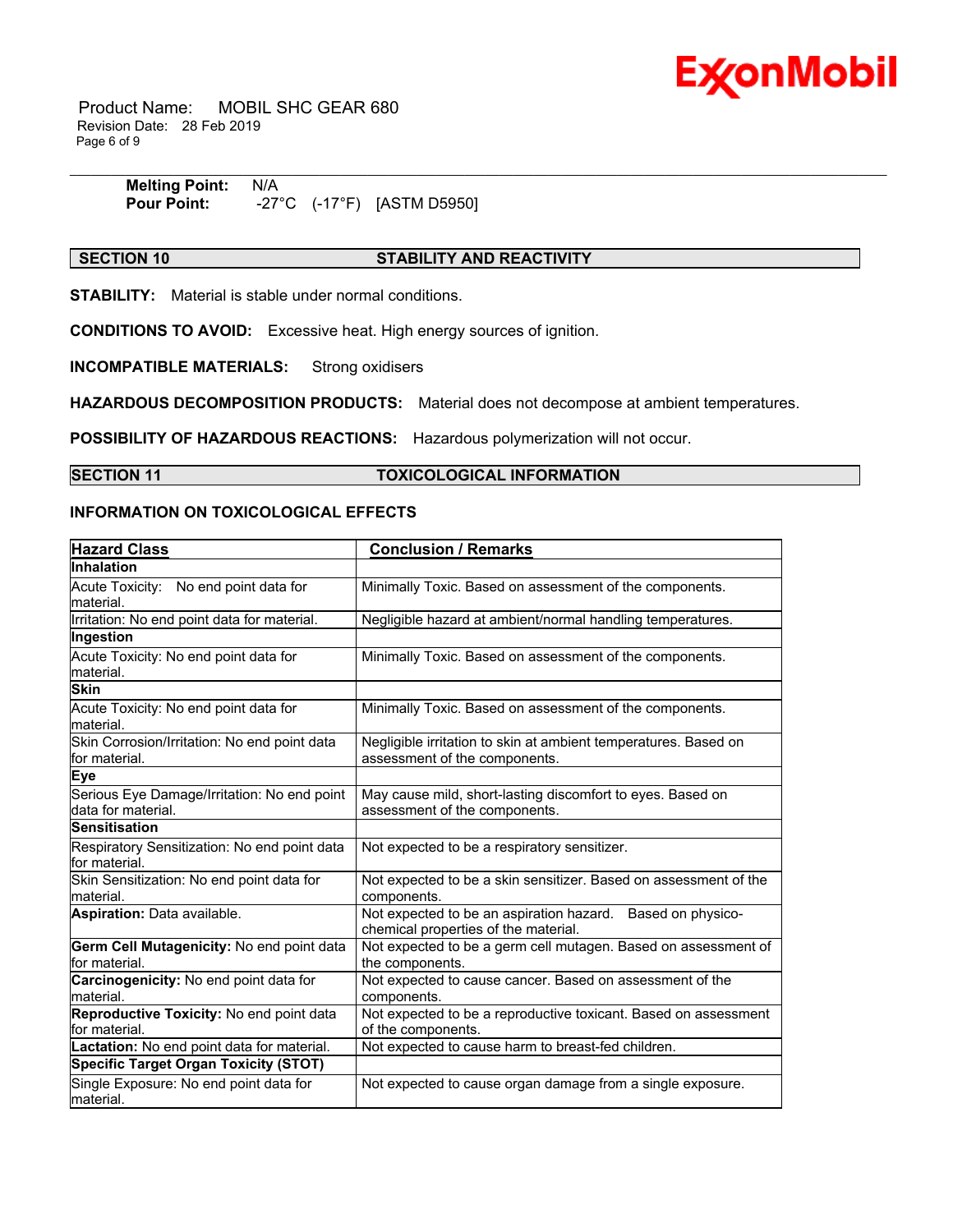

 Product Name: MOBIL SHC GEAR 680 Revision Date: 28 Feb 2019 Page 6 of 9

| <b>Melting Point:</b> | N/A                          |              |  |
|-----------------------|------------------------------|--------------|--|
| <b>Pour Point:</b>    | -27°C<br>$^{\prime}$ 17°F) . | [ASTM D5950] |  |

# **SECTION 10 STABILITY AND REACTIVITY**

**STABILITY:** Material is stable under normal conditions.

**CONDITIONS TO AVOID:** Excessive heat. High energy sources of ignition.

**INCOMPATIBLE MATERIALS:** Strong oxidisers

**HAZARDOUS DECOMPOSITION PRODUCTS:** Material does not decompose at ambient temperatures.

**POSSIBILITY OF HAZARDOUS REACTIONS:** Hazardous polymerization will not occur.

# **SECTION 11 TOXICOLOGICAL INFORMATION**

# **INFORMATION ON TOXICOLOGICAL EFFECTS**

| <b>Hazard Class</b>                                               | <b>Conclusion / Remarks</b>                                                                        |
|-------------------------------------------------------------------|----------------------------------------------------------------------------------------------------|
| Inhalation                                                        |                                                                                                    |
| Acute Toxicity: No end point data for<br>material.                | Minimally Toxic. Based on assessment of the components.                                            |
| Irritation: No end point data for material.                       | Negligible hazard at ambient/normal handling temperatures.                                         |
| Ingestion                                                         |                                                                                                    |
| Acute Toxicity: No end point data for<br>material.                | Minimally Toxic. Based on assessment of the components.                                            |
| <b>Skin</b>                                                       |                                                                                                    |
| Acute Toxicity: No end point data for<br>material.                | Minimally Toxic. Based on assessment of the components.                                            |
| Skin Corrosion/Irritation: No end point data<br>for material.     | Negligible irritation to skin at ambient temperatures. Based on<br>assessment of the components.   |
| <b>Eye</b>                                                        |                                                                                                    |
| Serious Eye Damage/Irritation: No end point<br>data for material. | May cause mild, short-lasting discomfort to eyes. Based on<br>assessment of the components.        |
| <b>Sensitisation</b>                                              |                                                                                                    |
| Respiratory Sensitization: No end point data<br>for material.     | Not expected to be a respiratory sensitizer.                                                       |
| Skin Sensitization: No end point data for<br>material.            | Not expected to be a skin sensitizer. Based on assessment of the<br>components.                    |
| Aspiration: Data available.                                       | Not expected to be an aspiration hazard. Based on physico-<br>chemical properties of the material. |
| Germ Cell Mutagenicity: No end point data<br>for material.        | Not expected to be a germ cell mutagen. Based on assessment of<br>the components.                  |
| Carcinogenicity: No end point data for<br>material.               | Not expected to cause cancer. Based on assessment of the<br>components.                            |
| Reproductive Toxicity: No end point data<br>for material.         | Not expected to be a reproductive toxicant. Based on assessment<br>of the components.              |
| Lactation: No end point data for material.                        | Not expected to cause harm to breast-fed children.                                                 |
| <b>Specific Target Organ Toxicity (STOT)</b>                      |                                                                                                    |
| Single Exposure: No end point data for<br>material.               | Not expected to cause organ damage from a single exposure.                                         |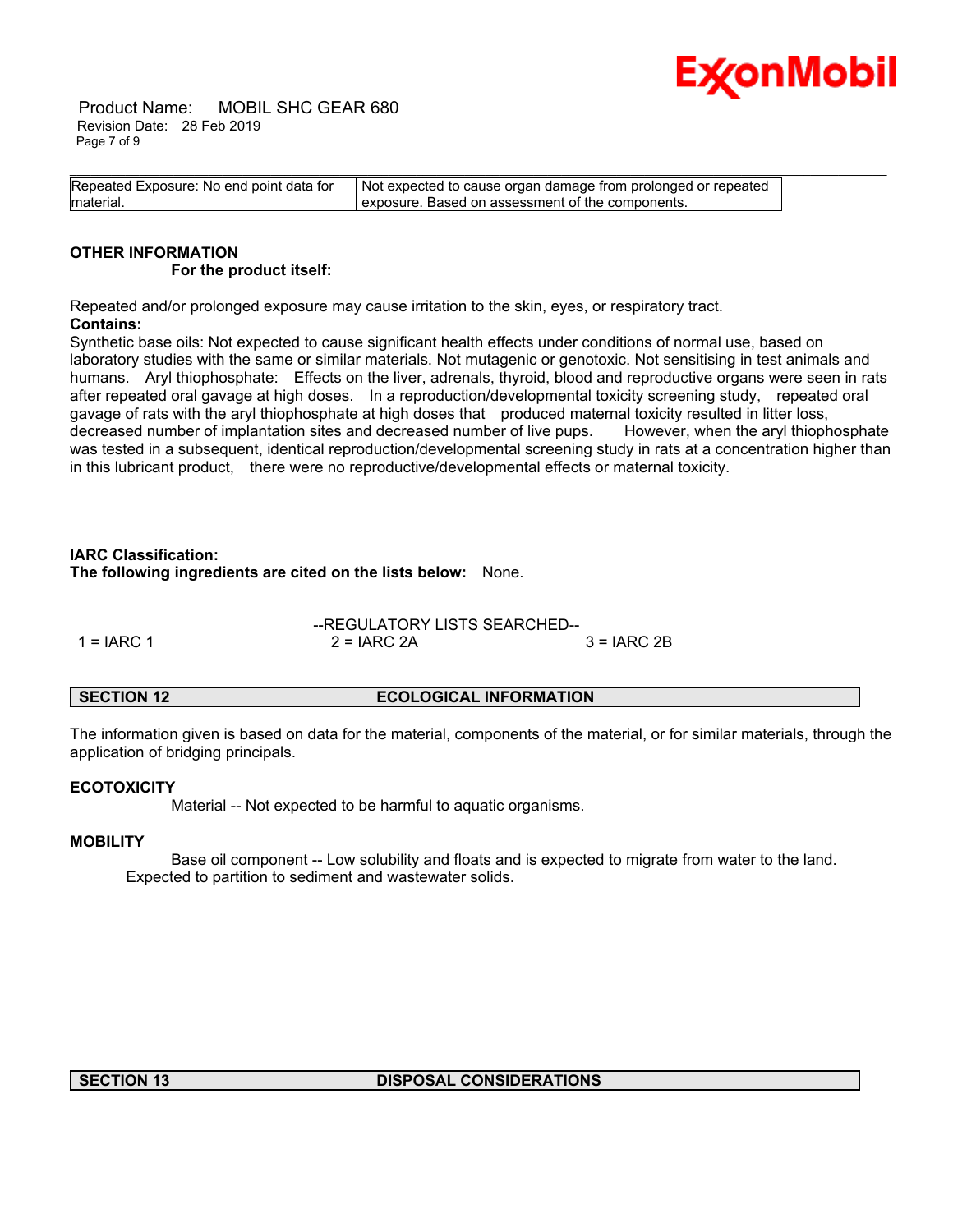

 Product Name: MOBIL SHC GEAR 680 Revision Date: 28 Feb 2019 Page 7 of 9

| Repeated Exposure: No end point data for | Not expected to cause organ damage from prolonged or repeated |
|------------------------------------------|---------------------------------------------------------------|
| material.                                | exposure. Based on assessment of the components.              |

### **OTHER INFORMATION For the product itself:**

Repeated and/or prolonged exposure may cause irritation to the skin, eyes, or respiratory tract. **Contains:**

Synthetic base oils: Not expected to cause significant health effects under conditions of normal use, based on laboratory studies with the same or similar materials. Not mutagenic or genotoxic. Not sensitising in test animals and humans. Aryl thiophosphate: Effects on the liver, adrenals, thyroid, blood and reproductive organs were seen in rats after repeated oral gavage at high doses. In a reproduction/developmental toxicity screening study, repeated oral gavage of rats with the aryl thiophosphate at high doses that produced maternal toxicity resulted in litter loss, decreased number of implantation sites and decreased number of live pups. However, when the aryl thiophosphate was tested in a subsequent, identical reproduction/developmental screening study in rats at a concentration higher than in this lubricant product, there were no reproductive/developmental effects or maternal toxicity.

# **IARC Classification:**

**The following ingredients are cited on the lists below:** None.

|              | --REGULATORY LISTS SEARCHED-- |               |
|--------------|-------------------------------|---------------|
| $1 = IARC 1$ | $2 = IARC 2A$                 | $3 = IARC 2B$ |

# **SECTION 12 ECOLOGICAL INFORMATION**

The information given is based on data for the material, components of the material, or for similar materials, through the application of bridging principals.

# **ECOTOXICITY**

Material -- Not expected to be harmful to aquatic organisms.

# **MOBILITY**

 Base oil component -- Low solubility and floats and is expected to migrate from water to the land. Expected to partition to sediment and wastewater solids.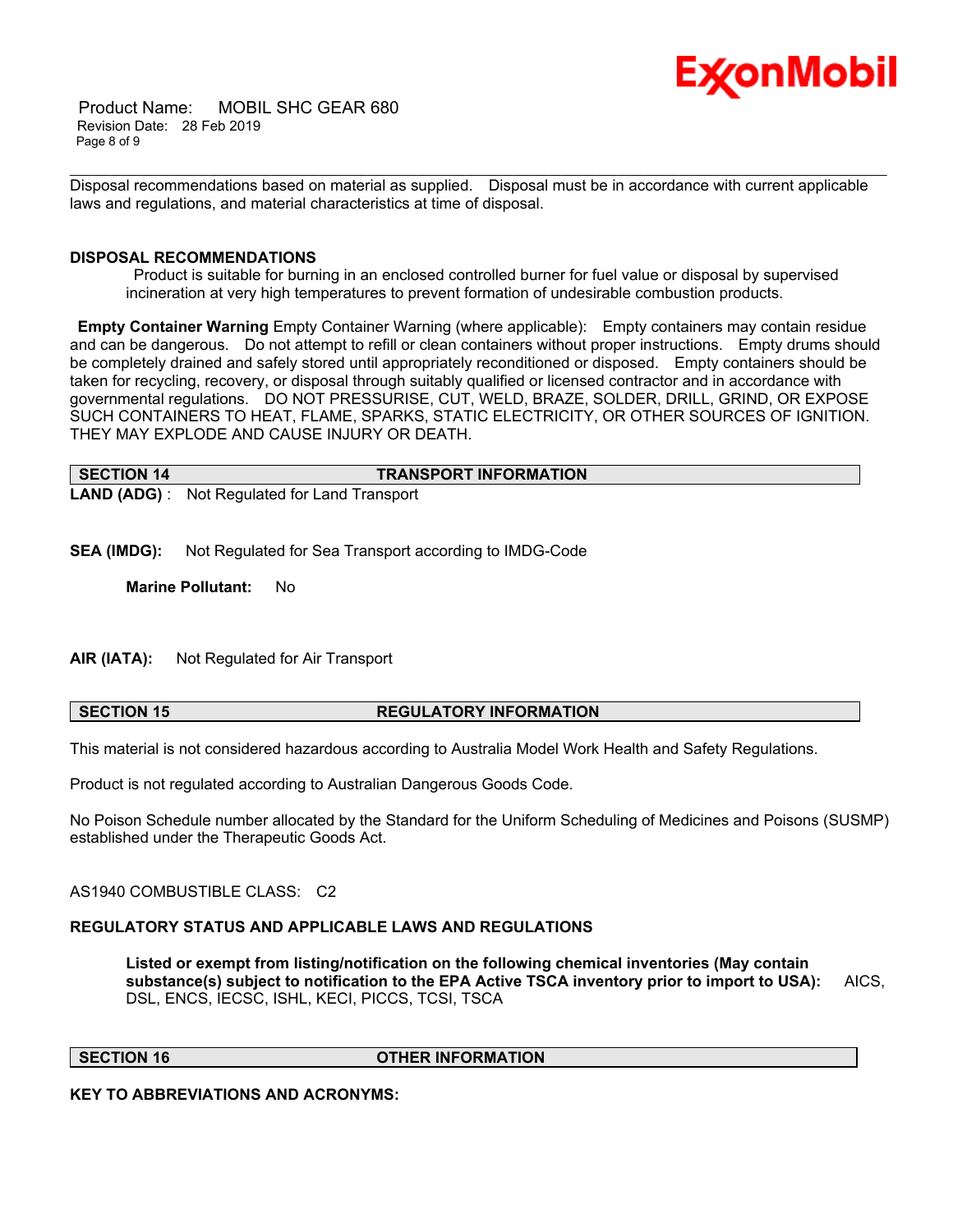

 Product Name: MOBIL SHC GEAR 680 Revision Date: 28 Feb 2019 Page 8 of 9

\_\_\_\_\_\_\_\_\_\_\_\_\_\_\_\_\_\_\_\_\_\_\_\_\_\_\_\_\_\_\_\_\_\_\_\_\_\_\_\_\_\_\_\_\_\_\_\_\_\_\_\_\_\_\_\_\_\_\_\_\_\_\_\_\_\_\_\_\_\_\_\_\_\_\_\_\_\_\_\_\_\_\_\_\_\_\_\_\_\_\_\_\_\_\_\_\_\_\_\_\_\_\_\_\_\_\_\_\_\_\_\_\_\_\_\_\_\_ Disposal recommendations based on material as supplied. Disposal must be in accordance with current applicable laws and regulations, and material characteristics at time of disposal.

#### **DISPOSAL RECOMMENDATIONS**

 Product is suitable for burning in an enclosed controlled burner for fuel value or disposal by supervised incineration at very high temperatures to prevent formation of undesirable combustion products.

**Empty Container Warning** Empty Container Warning (where applicable): Empty containers may contain residue and can be dangerous. Do not attempt to refill or clean containers without proper instructions. Empty drums should be completely drained and safely stored until appropriately reconditioned or disposed. Empty containers should be taken for recycling, recovery, or disposal through suitably qualified or licensed contractor and in accordance with governmental regulations. DO NOT PRESSURISE, CUT, WELD, BRAZE, SOLDER, DRILL, GRIND, OR EXPOSE SUCH CONTAINERS TO HEAT, FLAME, SPARKS, STATIC ELECTRICITY, OR OTHER SOURCES OF IGNITION. THEY MAY EXPLODE AND CAUSE INJURY OR DEATH.

| SECTION 14 | <b>TRANSPORT INFORMATION</b>                         |
|------------|------------------------------------------------------|
|            | <b>LAND (ADG)</b> : Not Regulated for Land Transport |

**SEA (IMDG):** Not Regulated for Sea Transport according to IMDG-Code

**Marine Pollutant:** No

**AIR (IATA):** Not Regulated for Air Transport

# **SECTION 15 REGULATORY INFORMATION**

This material is not considered hazardous according to Australia Model Work Health and Safety Regulations.

Product is not regulated according to Australian Dangerous Goods Code.

No Poison Schedule number allocated by the Standard for the Uniform Scheduling of Medicines and Poisons (SUSMP) established under the Therapeutic Goods Act.

AS1940 COMBUSTIBLE CLASS: C2

#### **REGULATORY STATUS AND APPLICABLE LAWS AND REGULATIONS**

**Listed or exempt from listing/notification on the following chemical inventories (May contain substance(s) subject to notification to the EPA Active TSCA inventory prior to import to USA):** AICS, DSL, ENCS, IECSC, ISHL, KECI, PICCS, TCSI, TSCA

**SECTION 16 OTHER INFORMATION**

**KEY TO ABBREVIATIONS AND ACRONYMS:**